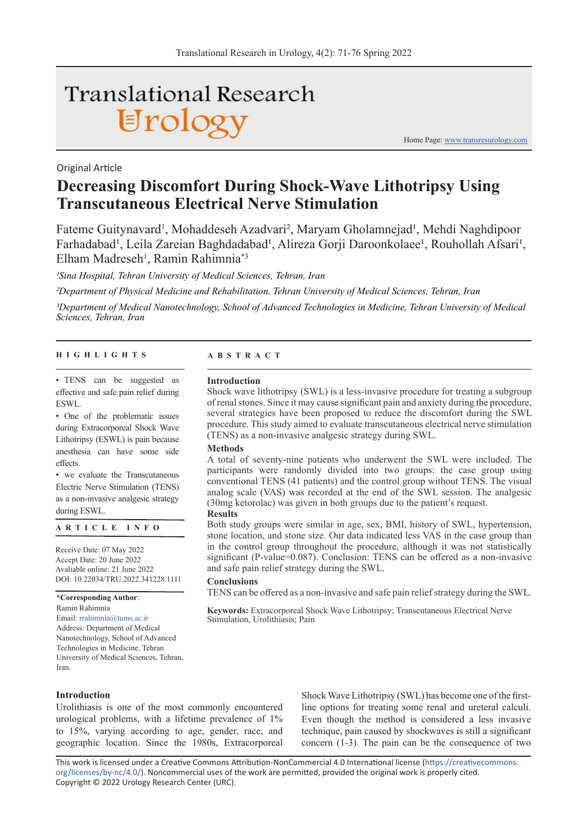# **Translational Research** Urology

Home Page: www.transresurology.com

## **Decreasing Discomfort During Shock-Wave Lithotripsy Using Transcutaneous Electrical Nerve Stimulation**

Fateme Guitynavard<sup>1</sup>, Mohaddeseh Azadvari<sup>2</sup>, Maryam Gholamnejad<sup>1</sup>, Mehdi Naghdipoor Farhadabad<sup>1</sup>, Leila Zareian Baghdadabad<sup>1</sup>, Alireza Gorji Daroonkolaee<sup>1</sup>, Rouhollah Afsari<sup>1</sup>, Elham Madreseh<sup>1</sup>, Ramin Rahimnia<sup>\*3</sup>

*1Sina Hospital, Tehran University of Medical Sciences, Tehran, Iran*

*2Department of Physical Medicine and Rehabilitation, Tehran University of Medical Sciences, Tehran, Iran*

*3Department of Medical Nanotechnology, School of Advanced Technologies in Medicine, Tehran University of Medical Sciences, Tehran, Iran*

#### **HIGHLIGHTS ABSTRACT**

Original Article

• TENS can be suggested as effective and safe pain relief during ESWL.

• One of the problematic issues during Extracorporeal Shock Wave Lithotripsy (ESWL) is pain because anesthesia can have some side effects.

• we evaluate the Transcutaneous Electric Nerve Stimulation (TENS) as a non-invasive analgesic strategy during ESWL.

**ARTICLE INFO**

Receive Date: 07 May 2022 Accept Date: 20 June 2022 Avaliable online: 21 June 2022 DOI: 10.22034/TRU.2022.341228.1111

**\*Corresponding Author**:

Ramin Rahimnia Email: rrahimnia@tums.ac.ir Address: Department of Medical Nanotechnology, School of Advanced Technologies in Medicine, Tehran University of Medical Sciences, Tehran, Iran.

#### **Introduction**

Shock wave lithotripsy (SWL) is a less-invasive procedure for treating a subgroup of renal stones. Since it may cause significant pain and anxiety during the procedure, several strategies have been proposed to reduce the discomfort during the SWL procedure. This study aimed to evaluate transcutaneous electrical nerve stimulation (TENS) as a non-invasive analgesic strategy during SWL.

#### **Methods**

A total of seventy-nine patients who underwent the SWL were included. The participants were randomly divided into two groups: the case group using conventional TENS (41 patients) and the control group without TENS. The visual analog scale (VAS) was recorded at the end of the SWL session. The analgesic (30mg ketorolac) was given in both groups due to the patient's request.

#### **Results**

Both study groups were similar in age, sex, BMI, history of SWL, hypertension, stone location, and stone size. Our data indicated less VAS in the case group than in the control group throughout the procedure, although it was not statistically significant (P-value=0.087). Conclusion: TENS can be offered as a non-invasive and safe pain relief strategy during the SWL.

#### **Conclusions**

TENS can be offered as a non-invasive and safe pain relief strategy during the SWL.

**Keywords:** Extracorporeal Shock Wave Lithotripsy; Transcutaneous Electrical Nerve Stimulation, Urolithiasis; Pain

**Introduction**

Urolithiasis is one of the most commonly encountered urological problems, with a lifetime prevalence of 1% to 15%, varying according to age, gender, race, and geographic location. Since the 1980s, Extracorporeal

Shock Wave Lithotripsy (SWL) has become one of the firstline options for treating some renal and ureteral calculi. Even though the method is considered a less invasive technique, pain caused by shockwaves is still a significant concern (1-3). The pain can be the consequence of two

This work is licensed under a Creative Commons Attribution-NonCommercial 4.0 International license (https://creativecommons. org/licenses/by-nc/4.0/). Noncommercial uses of the work are permitted, provided the original work is properly cited. Copyright © 2022 Urology Research Center (URC).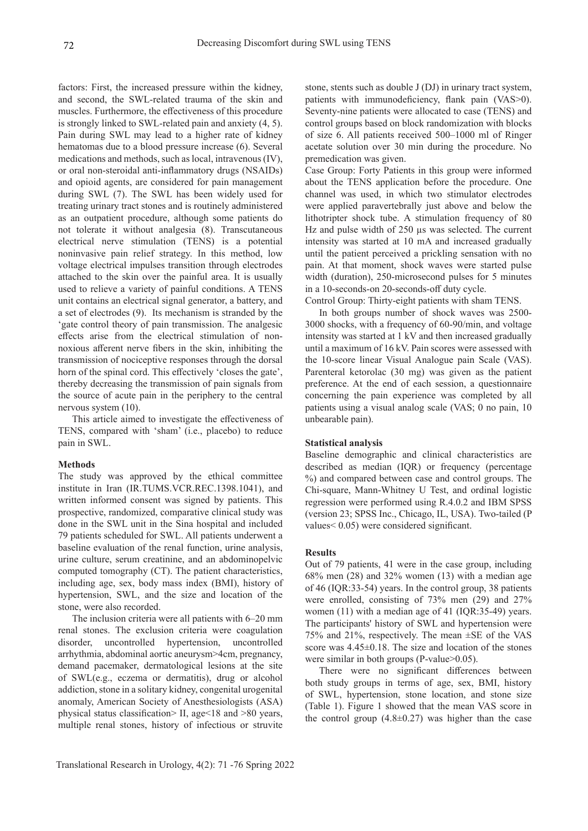factors: First, the increased pressure within the kidney, and second, the SWL-related trauma of the skin and muscles. Furthermore, the effectiveness of this procedure is strongly linked to SWL-related pain and anxiety (4, 5). Pain during SWL may lead to a higher rate of kidney hematomas due to a blood pressure increase (6). Several medications and methods, such as local, intravenous (IV), or oral non-steroidal anti-inflammatory drugs (NSAIDs) and opioid agents, are considered for pain management during SWL (7). The SWL has been widely used for treating urinary tract stones and is routinely administered as an outpatient procedure, although some patients do not tolerate it without analgesia (8). Transcutaneous electrical nerve stimulation (TENS) is a potential noninvasive pain relief strategy. In this method, low voltage electrical impulses transition through electrodes attached to the skin over the painful area. It is usually used to relieve a variety of painful conditions. A TENS unit contains an electrical signal generator, a battery, and a set of electrodes (9). Its mechanism is stranded by the 'gate control theory of pain transmission. The analgesic effects arise from the electrical stimulation of nonnoxious afferent nerve fibers in the skin, inhibiting the transmission of nociceptive responses through the dorsal horn of the spinal cord. This effectively 'closes the gate', thereby decreasing the transmission of pain signals from the source of acute pain in the periphery to the central nervous system (10).

This article aimed to investigate the effectiveness of TENS, compared with 'sham' (i.e., placebo) to reduce pain in SWL.

#### **Methods**

The study was approved by the ethical committee institute in Iran (IR.TUMS.VCR.REC.1398.1041), and written informed consent was signed by patients. This prospective, randomized, comparative clinical study was done in the SWL unit in the Sina hospital and included 79 patients scheduled for SWL. All patients underwent a baseline evaluation of the renal function, urine analysis, urine culture, serum creatinine, and an abdominopelvic computed tomography (CT). The patient characteristics, including age, sex, body mass index (BMI), history of hypertension, SWL, and the size and location of the stone, were also recorded.

The inclusion criteria were all patients with 6–20 mm renal stones. The exclusion criteria were coagulation disorder, uncontrolled hypertension, uncontrolled arrhythmia, abdominal aortic aneurysm>4cm, pregnancy, demand pacemaker, dermatological lesions at the site of SWL(e.g., eczema or dermatitis), drug or alcohol addiction, stone in a solitary kidney, congenital urogenital anomaly, American Society of Anesthesiologists (ASA) physical status classification> II, age<18 and >80 years, multiple renal stones, history of infectious or struvite

stone, stents such as double J (DJ) in urinary tract system, patients with immunodeficiency, flank pain (VAS>0). Seventy-nine patients were allocated to case (TENS) and control groups based on block randomization with blocks of size 6. All patients received 500–1000 ml of Ringer acetate solution over 30 min during the procedure. No premedication was given.

Case Group: Forty Patients in this group were informed about the TENS application before the procedure. One channel was used, in which two stimulator electrodes were applied paravertebrally just above and below the lithotripter shock tube. A stimulation frequency of 80 Hz and pulse width of 250 µs was selected. The current intensity was started at 10 mA and increased gradually until the patient perceived a prickling sensation with no pain. At that moment, shock waves were started pulse width (duration), 250-microsecond pulses for 5 minutes in a 10-seconds-on 20-seconds-off duty cycle.

Control Group: Thirty-eight patients with sham TENS.

In both groups number of shock waves was 2500- 3000 shocks, with a frequency of 60-90/min, and voltage intensity was started at 1 kV and then increased gradually until a maximum of 16 kV. Pain scores were assessed with the 10-score linear Visual Analogue pain Scale (VAS). Parenteral ketorolac (30 mg) was given as the patient preference. At the end of each session, a questionnaire concerning the pain experience was completed by all patients using a visual analog scale (VAS; 0 no pain, 10 unbearable pain).

#### **Statistical analysis**

Baseline demographic and clinical characteristics are described as median (IQR) or frequency (percentage %) and compared between case and control groups. The Chi-square, Mann-Whitney U Test, and ordinal logistic regression were performed using R.4.0.2 and IBM SPSS (version 23; SPSS Inc., Chicago, IL, USA). Two-tailed (P values< 0.05) were considered significant.

#### **Results**

Out of 79 patients, 41 were in the case group, including 68% men (28) and 32% women (13) with a median age of 46 (IQR:33-54) years. In the control group, 38 patients were enrolled, consisting of 73% men (29) and 27% women (11) with a median age of 41 (IQR:35-49) years. The participants' history of SWL and hypertension were 75% and 21%, respectively. The mean ±SE of the VAS score was 4.45±0.18. The size and location of the stones were similar in both groups (P-value>0.05).

There were no significant differences between both study groups in terms of age, sex, BMI, history of SWL, hypertension, stone location, and stone size (Table 1). Figure 1 showed that the mean VAS score in the control group  $(4.8 \pm 0.27)$  was higher than the case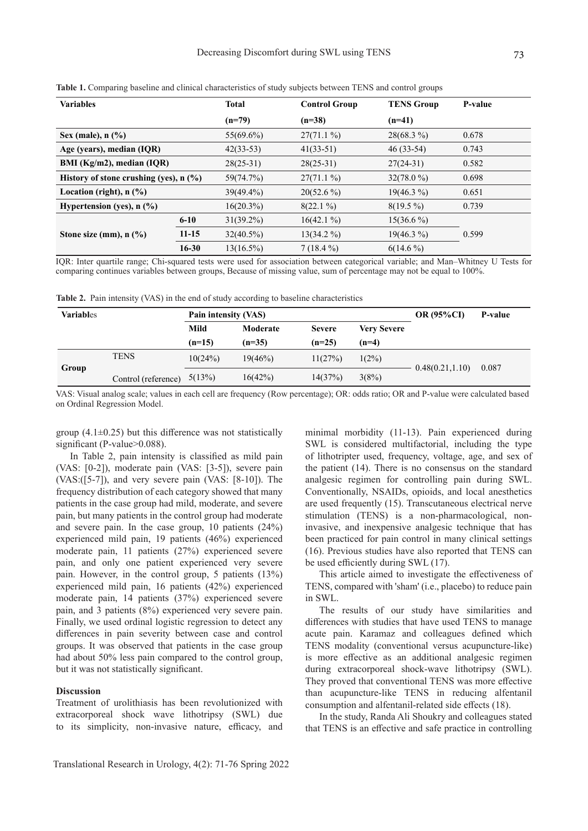| <b>Variables</b>                                |           | <b>Total</b> | <b>Control Group</b> | <b>TENS Group</b> | P-value |
|-------------------------------------------------|-----------|--------------|----------------------|-------------------|---------|
|                                                 |           | $(n=79)$     | $(n=38)$             | $(n=41)$          |         |
| Sex (male), $n$ $\left(\frac{9}{6}\right)$      |           | $55(69.6\%)$ | $27(71.1\%)$         | $28(68.3\%)$      | 0.678   |
| Age (years), median (IQR)                       |           | $42(33-53)$  | $41(33-51)$          | $46(33-54)$       | 0.743   |
| BMI (Kg/m2), median (IQR)                       |           | $28(25-31)$  | $28(25-31)$          | $27(24-31)$       | 0.582   |
| History of stone crushing (yes), $n$ (%)        |           | 59(74.7%)    | $27(71.1\%)$         | $32(78.0\%)$      | 0.698   |
| Location (right), $n$ $(\frac{9}{6})$           |           | $39(49.4\%)$ | $20(52.6\%)$         | $19(46.3\%)$      | 0.651   |
| Hypertension (yes), $n$ (%)                     |           | $16(20.3\%)$ | $8(22.1\%)$          | $8(19.5\%)$       | 0.739   |
|                                                 | $6 - 10$  | $31(39.2\%)$ | $16(42.1\%)$         | $15(36.6\%)$      |         |
| Stone size (mm), $n$ $\left(\frac{9}{6}\right)$ | $11 - 15$ | $32(40.5\%)$ | $13(34.2\%)$         | $19(46.3\%)$      | 0.599   |
|                                                 | $16 - 30$ | $13(16.5\%)$ | $7(18.4\%)$          | $6(14.6\%)$       |         |

**Table 1.** Comparing baseline and clinical characteristics of study subjects between TENS and control groups

IQR: Inter quartile range; Chi-squared tests were used for association between categorical variable; and Man–Whitney U Tests for comparing continues variables between groups, Because of missing value, sum of percentage may not be equal to 100%.

**Table 2.** Pain intensity (VAS) in the end of study according to baseline characteristics

| <b>Variables</b> |                     | Pain intensity (VAS) |            |               |                    | <b>OR (95%CI)</b> | P-value |
|------------------|---------------------|----------------------|------------|---------------|--------------------|-------------------|---------|
|                  |                     | Mild                 | Moderate   | <b>Severe</b> | <b>Very Severe</b> |                   |         |
|                  |                     | $(n=15)$             | $(n=35)$   | $(n=25)$      | $(n=4)$            |                   |         |
| Group            | <b>TENS</b>         | 10(24%)              | $19(46\%)$ | 11(27%)       | $1(2\%)$           | 0.48(0.21, 1.10)  | 0.087   |
|                  | Control (reference) | 5(13%)               | 16(42%)    | 14(37%)       | 3(8%)              |                   |         |

VAS: Visual analog scale; values in each cell are frequency (Row percentage); OR: odds ratio; OR and P-value were calculated based on Ordinal Regression Model.

group  $(4.1\pm0.25)$  but this difference was not statistically significant (P-value>0.088).

In Table 2, pain intensity is classified as mild pain (VAS: [0-2]), moderate pain (VAS: [3-5]), severe pain (VAS:([5-7]), and very severe pain (VAS: [8-10]). The frequency distribution of each category showed that many patients in the case group had mild, moderate, and severe pain, but many patients in the control group had moderate and severe pain. In the case group, 10 patients (24%) experienced mild pain, 19 patients (46%) experienced moderate pain, 11 patients (27%) experienced severe pain, and only one patient experienced very severe pain. However, in the control group, 5 patients (13%) experienced mild pain, 16 patients (42%) experienced moderate pain, 14 patients (37%) experienced severe pain, and 3 patients (8%) experienced very severe pain. Finally, we used ordinal logistic regression to detect any differences in pain severity between case and control groups. It was observed that patients in the case group had about 50% less pain compared to the control group, but it was not statistically significant.

#### **Discussion**

Treatment of urolithiasis has been revolutionized with extracorporeal shock wave lithotripsy (SWL) due to its simplicity, non-invasive nature, efficacy, and

during extracorporeal shock-wave lithotripsy (SWL). They proved that conventional TENS was more effective than acupuncture-like TENS in reducing alfentanil consumption and alfentanil-related side effects (18).

in SWL.

In the study, Randa Ali Shoukry and colleagues stated that TENS is an effective and safe practice in controlling

minimal morbidity (11-13). Pain experienced during SWL is considered multifactorial, including the type of lithotripter used, frequency, voltage, age, and sex of the patient (14). There is no consensus on the standard analgesic regimen for controlling pain during SWL. Conventionally, NSAIDs, opioids, and local anesthetics are used frequently (15). Transcutaneous electrical nerve stimulation (TENS) is a non-pharmacological, noninvasive, and inexpensive analgesic technique that has been practiced for pain control in many clinical settings (16). Previous studies have also reported that TENS can

This article aimed to investigate the effectiveness of TENS, compared with 'sham' (i.e., placebo) to reduce pain

The results of our study have similarities and differences with studies that have used TENS to manage acute pain. Karamaz and colleagues defined which TENS modality (conventional versus acupuncture-like) is more effective as an additional analgesic regimen

be used efficiently during SWL (17).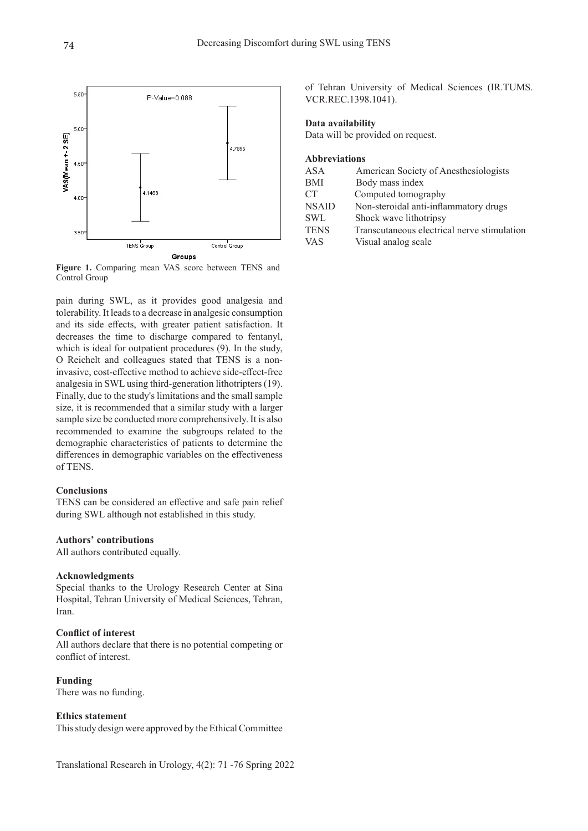

**Figure 1.** Comparing mean VAS score between TENS and Control Group

pain during SWL, as it provides good analgesia and tolerability. It leads to a decrease in analgesic consumption and its side effects, with greater patient satisfaction. It decreases the time to discharge compared to fentanyl, which is ideal for outpatient procedures (9). In the study, O Reichelt and colleagues stated that TENS is a noninvasive, cost-effective method to achieve side-effect-free analgesia in SWL using third-generation lithotripters (19). Finally, due to the study's limitations and the small sample size, it is recommended that a similar study with a larger sample size be conducted more comprehensively. It is also recommended to examine the subgroups related to the demographic characteristics of patients to determine the differences in demographic variables on the effectiveness of TENS.

#### **Conclusions**

TENS can be considered an effective and safe pain relief during SWL although not established in this study.

#### **Authors' contributions**

All authors contributed equally.

#### **Acknowledgments**

Special thanks to the Urology Research Center at Sina Hospital, Tehran University of Medical Sciences, Tehran, Iran.

#### **Conflict of interest**

All authors declare that there is no potential competing or conflict of interest.

**Funding**  There was no funding.

### **Ethics statement**

This study design were approved by the Ethical Committee

Translational Research in Urology, 4(2): 71 -76 Spring 2022

of Tehran University of Medical Sciences (IR.TUMS. VCR.REC.1398.1041).

#### **Data availability**

Data will be provided on request.

#### **Abbreviations**

| <b>ASA</b>      | American Society of Anesthesiologists       |
|-----------------|---------------------------------------------|
| <b>BMI</b>      | Body mass index                             |
| CT <sup>-</sup> | Computed tomography                         |
| <b>NSAID</b>    | Non-steroidal anti-inflammatory drugs       |
| <b>SWL</b>      | Shock wave lithotripsy                      |
| <b>TENS</b>     | Transcutaneous electrical nerve stimulation |
| <b>VAS</b>      | Visual analog scale                         |
|                 |                                             |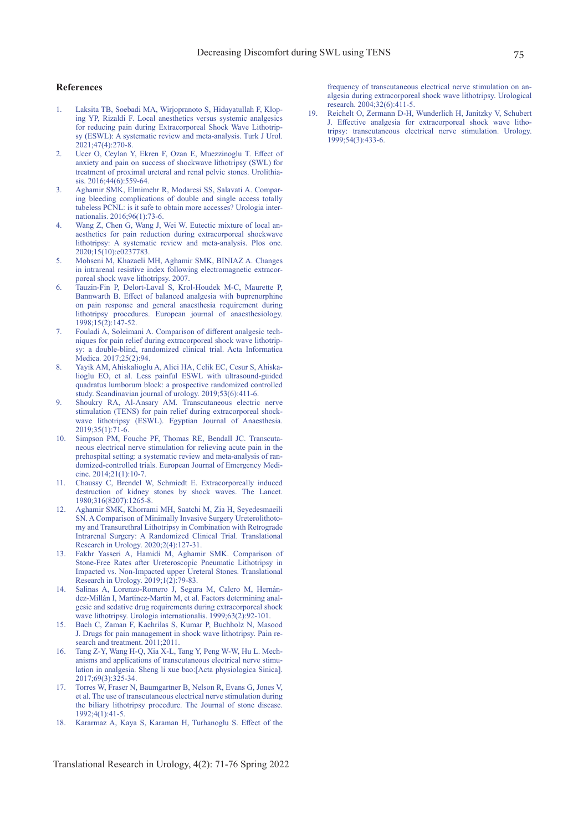#### **References**

- 1. Laksita TB, Soebadi MA, Wirjopranoto S, Hidayatullah F, Kloping YP, Rizaldi F. Local anesthetics versus systemic analgesics for reducing pain during Extracorporeal Shock Wave Lithotripsy (ESWL): A systematic review and meta-analysis. Turk J Urol. 2021;47(4):270-8.
- 2. Ucer O, Ceylan Y, Ekren F, Ozan E, Muezzinoglu T. Effect of anxiety and pain on success of shockwave lithotripsy (SWL) for treatment of proximal ureteral and renal pelvic stones. Urolithia- $\sin 2016.446$ : 559-64
- 3. Aghamir SMK, Elmimehr R, Modaresi SS, Salavati A. Comparing bleeding complications of double and single access totally tubeless PCNL: is it safe to obtain more accesses? Urologia internationalis. 2016;96(1):73-6.
- 4. Wang Z, Chen G, Wang J, Wei W. Eutectic mixture of local anaesthetics for pain reduction during extracorporeal shockwave lithotripsy: A systematic review and meta-analysis. Plos one. 2020;15(10):e0237783.
- 5. Mohseni M, Khazaeli MH, Aghamir SMK, BINIAZ A. Changes in intrarenal resistive index following electromagnetic extracorporeal shock wave lithotripsy. 2007.
- 6. Tauzin-Fin P, Delort-Laval S, Krol-Houdek M-C, Maurette P, Bannwarth B. Effect of balanced analgesia with buprenorphine on pain response and general anaesthesia requirement during lithotripsy procedures. European journal of anaesthesiology. 1998;15(2):147-52.
- 7. Fouladi A, Soleimani A. Comparison of different analgesic techniques for pain relief during extracorporeal shock wave lithotripsy: a double-blind, randomized clinical trial. Acta Informatica Medica. 2017;25(2):94.
- 8. Yayik AM, Ahiskalioglu A, Alici HA, Celik EC, Cesur S, Ahiskalioglu EO, et al. Less painful ESWL with ultrasound-guided quadratus lumborum block: a prospective randomized controlled study. Scandinavian journal of urology. 2019;53(6):411-6.
- 9. Shoukry RA, Al-Ansary AM. Transcutaneous electric nerve stimulation (TENS) for pain relief during extracorporeal shockwave lithotripsy (ESWL). Egyptian Journal of Anaesthesia. 2019;35(1):71-6.
- 10. Simpson PM, Fouche PF, Thomas RE, Bendall JC. Transcutaneous electrical nerve stimulation for relieving acute pain in the prehospital setting: a systematic review and meta-analysis of randomized-controlled trials. European Journal of Emergency Medicine. 2014;21(1):10-7.
- 11. Chaussy C, Brendel W, Schmiedt E. Extracorporeally induced destruction of kidney stones by shock waves. The Lancet. 1980;316(8207):1265-8.
- 12. Aghamir SMK, Khorrami MH, Saatchi M, Zia H, Seyedesmaeili SN. A Comparison of Minimally Invasive Surgery Ureterolithotomy and Transurethral Lithotripsy in Combination with Retrograde Intrarenal Surgery: A Randomized Clinical Trial. Translational Research in Urology. 2020;2(4):127-31.
- 13. Fakhr Yasseri A, Hamidi M, Aghamir SMK. Comparison of Stone-Free Rates after Ureteroscopic Pneumatic Lithotripsy in Impacted vs. Non-Impacted upper Ureteral Stones. Translational Research in Urology. 2019;1(2):79-83.
- 14. Salinas A, Lorenzo-Romero J, Segura M, Calero M, Hernández-Millán I, Martínez-Martín M, et al. Factors determining analgesic and sedative drug requirements during extracorporeal shock wave lithotripsy. Urologia internationalis. 1999;63(2):92-101.
- 15. Bach C, Zaman F, Kachrilas S, Kumar P, Buchholz N, Masood J. Drugs for pain management in shock wave lithotripsy. Pain research and treatment. 2011;2011.
- 16. Tang Z-Y, Wang H-Q, Xia X-L, Tang Y, Peng W-W, Hu L. Mechanisms and applications of transcutaneous electrical nerve stimulation in analgesia. Sheng li xue bao:[Acta physiologica Sinica]. 2017;69(3):325-34.
- 17. Torres W, Fraser N, Baumgartner B, Nelson R, Evans G, Jones V, et al. The use of transcutaneous electrical nerve stimulation during the biliary lithotripsy procedure. The Journal of stone disease. 1992;4(1):41-5.
- 18. Kararmaz A, Kaya S, Karaman H, Turhanoglu S. Effect of the

Translational Research in Urology, 4(2): 71-76 Spring 2022

frequency of transcutaneous electrical nerve stimulation on analgesia during extracorporeal shock wave lithotripsy. Urological research. 2004;32(6):411-5.

19. Reichelt O, Zermann D-H, Wunderlich H, Janitzky V, Schubert J. Effective analgesia for extracorporeal shock wave lithotripsy: transcutaneous electrical nerve stimulation. Urology. 1999;54(3):433-6.